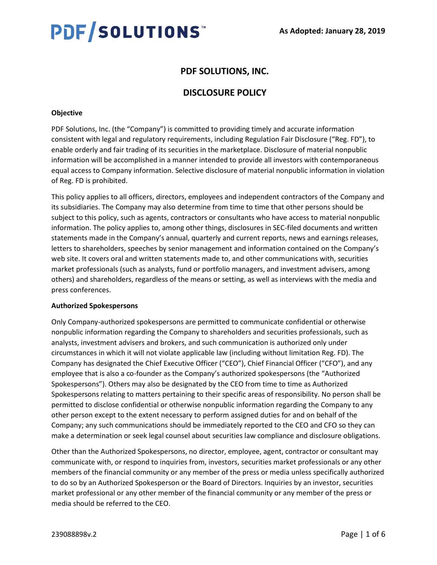# PDF/SOLUTIONS

# **PDF SOLUTIONS, INC.**

# **DISCLOSURE POLICY**

# **Objective**

PDF Solutions, Inc. (the "Company") is committed to providing timely and accurate information consistent with legal and regulatory requirements, including Regulation Fair Disclosure ("Reg. FD"), to enable orderly and fair trading of its securities in the marketplace. Disclosure of material nonpublic information will be accomplished in a manner intended to provide all investors with contemporaneous equal access to Company information. Selective disclosure of material nonpublic information in violation of Reg. FD is prohibited.

This policy applies to all officers, directors, employees and independent contractors of the Company and its subsidiaries. The Company may also determine from time to time that other persons should be subject to this policy, such as agents, contractors or consultants who have access to material nonpublic information. The policy applies to, among other things, disclosures in SEC-filed documents and written statements made in the Company's annual, quarterly and current reports, news and earnings releases, letters to shareholders, speeches by senior management and information contained on the Company's web site. It covers oral and written statements made to, and other communications with, securities market professionals (such as analysts, fund or portfolio managers, and investment advisers, among others) and shareholders, regardless of the means or setting, as well as interviews with the media and press conferences.

#### **Authorized Spokespersons**

Only Company-authorized spokespersons are permitted to communicate confidential or otherwise nonpublic information regarding the Company to shareholders and securities professionals, such as analysts, investment advisers and brokers, and such communication is authorized only under circumstances in which it will not violate applicable law (including without limitation Reg. FD). The Company has designated the Chief Executive Officer ("CEO"), Chief Financial Officer ("CFO"), and any employee that is also a co-founder as the Company's authorized spokespersons (the "Authorized Spokespersons"). Others may also be designated by the CEO from time to time as Authorized Spokespersons relating to matters pertaining to their specific areas of responsibility. No person shall be permitted to disclose confidential or otherwise nonpublic information regarding the Company to any other person except to the extent necessary to perform assigned duties for and on behalf of the Company; any such communications should be immediately reported to the CEO and CFO so they can make a determination or seek legal counsel about securities law compliance and disclosure obligations.

Other than the Authorized Spokespersons, no director, employee, agent, contractor or consultant may communicate with, or respond to inquiries from, investors, securities market professionals or any other members of the financial community or any member of the press or media unless specifically authorized to do so by an Authorized Spokesperson or the Board of Directors. Inquiries by an investor, securities market professional or any other member of the financial community or any member of the press or media should be referred to the CEO.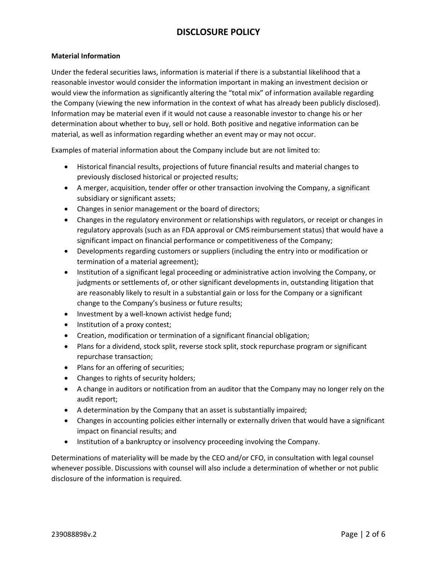# **Material Information**

Under the federal securities laws, information is material if there is a substantial likelihood that a reasonable investor would consider the information important in making an investment decision or would view the information as significantly altering the "total mix" of information available regarding the Company (viewing the new information in the context of what has already been publicly disclosed). Information may be material even if it would not cause a reasonable investor to change his or her determination about whether to buy, sell or hold. Both positive and negative information can be material, as well as information regarding whether an event may or may not occur.

Examples of material information about the Company include but are not limited to:

- Historical financial results, projections of future financial results and material changes to previously disclosed historical or projected results;
- A merger, acquisition, tender offer or other transaction involving the Company, a significant subsidiary or significant assets;
- Changes in senior management or the board of directors;
- Changes in the regulatory environment or relationships with regulators, or receipt or changes in regulatory approvals (such as an FDA approval or CMS reimbursement status) that would have a significant impact on financial performance or competitiveness of the Company;
- Developments regarding customers or suppliers (including the entry into or modification or termination of a material agreement);
- Institution of a significant legal proceeding or administrative action involving the Company, or judgments or settlements of, or other significant developments in, outstanding litigation that are reasonably likely to result in a substantial gain or loss for the Company or a significant change to the Company's business or future results;
- Investment by a well-known activist hedge fund;
- Institution of a proxy contest;
- Creation, modification or termination of a significant financial obligation;
- Plans for a dividend, stock split, reverse stock split, stock repurchase program or significant repurchase transaction;
- Plans for an offering of securities;
- Changes to rights of security holders;
- A change in auditors or notification from an auditor that the Company may no longer rely on the audit report;
- A determination by the Company that an asset is substantially impaired;
- Changes in accounting policies either internally or externally driven that would have a significant impact on financial results; and
- Institution of a bankruptcy or insolvency proceeding involving the Company.

Determinations of materiality will be made by the CEO and/or CFO, in consultation with legal counsel whenever possible. Discussions with counsel will also include a determination of whether or not public disclosure of the information is required.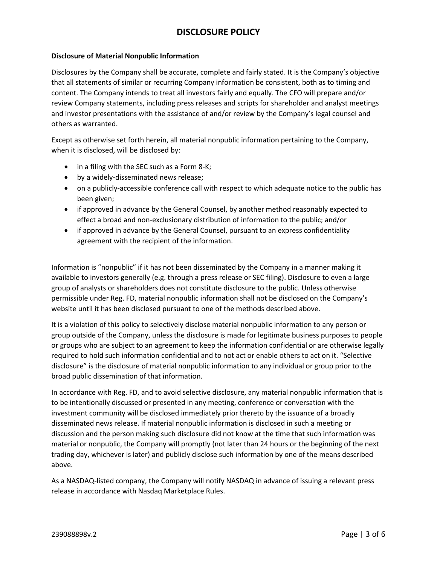## **Disclosure of Material Nonpublic Information**

Disclosures by the Company shall be accurate, complete and fairly stated. It is the Company's objective that all statements of similar or recurring Company information be consistent, both as to timing and content. The Company intends to treat all investors fairly and equally. The CFO will prepare and/or review Company statements, including press releases and scripts for shareholder and analyst meetings and investor presentations with the assistance of and/or review by the Company's legal counsel and others as warranted.

Except as otherwise set forth herein, all material nonpublic information pertaining to the Company, when it is disclosed, will be disclosed by:

- in a filing with the SEC such as a Form 8-K;
- by a widely-disseminated news release;
- on a publicly-accessible conference call with respect to which adequate notice to the public has been given;
- if approved in advance by the General Counsel, by another method reasonably expected to effect a broad and non-exclusionary distribution of information to the public; and/or
- if approved in advance by the General Counsel, pursuant to an express confidentiality agreement with the recipient of the information.

Information is "nonpublic" if it has not been disseminated by the Company in a manner making it available to investors generally (e.g. through a press release or SEC filing). Disclosure to even a large group of analysts or shareholders does not constitute disclosure to the public. Unless otherwise permissible under Reg. FD, material nonpublic information shall not be disclosed on the Company's website until it has been disclosed pursuant to one of the methods described above.

It is a violation of this policy to selectively disclose material nonpublic information to any person or group outside of the Company, unless the disclosure is made for legitimate business purposes to people or groups who are subject to an agreement to keep the information confidential or are otherwise legally required to hold such information confidential and to not act or enable others to act on it. "Selective disclosure" is the disclosure of material nonpublic information to any individual or group prior to the broad public dissemination of that information.

In accordance with Reg. FD, and to avoid selective disclosure, any material nonpublic information that is to be intentionally discussed or presented in any meeting, conference or conversation with the investment community will be disclosed immediately prior thereto by the issuance of a broadly disseminated news release. If material nonpublic information is disclosed in such a meeting or discussion and the person making such disclosure did not know at the time that such information was material or nonpublic, the Company will promptly (not later than 24 hours or the beginning of the next trading day, whichever is later) and publicly disclose such information by one of the means described above.

As a NASDAQ-listed company, the Company will notify NASDAQ in advance of issuing a relevant press release in accordance with Nasdaq Marketplace Rules.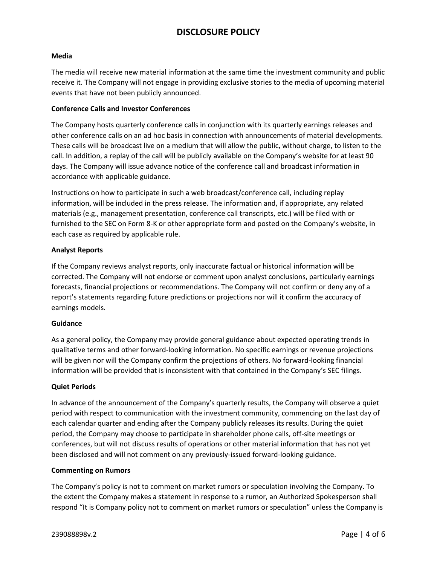#### **Media**

The media will receive new material information at the same time the investment community and public receive it. The Company will not engage in providing exclusive stories to the media of upcoming material events that have not been publicly announced.

#### **Conference Calls and Investor Conferences**

The Company hosts quarterly conference calls in conjunction with its quarterly earnings releases and other conference calls on an ad hoc basis in connection with announcements of material developments. These calls will be broadcast live on a medium that will allow the public, without charge, to listen to the call. In addition, a replay of the call will be publicly available on the Company's website for at least 90 days. The Company will issue advance notice of the conference call and broadcast information in accordance with applicable guidance.

Instructions on how to participate in such a web broadcast/conference call, including replay information, will be included in the press release. The information and, if appropriate, any related materials (e.g., management presentation, conference call transcripts, etc.) will be filed with or furnished to the SEC on Form 8-K or other appropriate form and posted on the Company's website, in each case as required by applicable rule.

## **Analyst Reports**

If the Company reviews analyst reports, only inaccurate factual or historical information will be corrected. The Company will not endorse or comment upon analyst conclusions, particularly earnings forecasts, financial projections or recommendations. The Company will not confirm or deny any of a report's statements regarding future predictions or projections nor will it confirm the accuracy of earnings models.

#### **Guidance**

As a general policy, the Company may provide general guidance about expected operating trends in qualitative terms and other forward-looking information. No specific earnings or revenue projections will be given nor will the Company confirm the projections of others. No forward-looking financial information will be provided that is inconsistent with that contained in the Company's SEC filings.

# **Quiet Periods**

In advance of the announcement of the Company's quarterly results, the Company will observe a quiet period with respect to communication with the investment community, commencing on the last day of each calendar quarter and ending after the Company publicly releases its results. During the quiet period, the Company may choose to participate in shareholder phone calls, off-site meetings or conferences, but will not discuss results of operations or other material information that has not yet been disclosed and will not comment on any previously-issued forward-looking guidance.

#### **Commenting on Rumors**

The Company's policy is not to comment on market rumors or speculation involving the Company. To the extent the Company makes a statement in response to a rumor, an Authorized Spokesperson shall respond "It is Company policy not to comment on market rumors or speculation" unless the Company is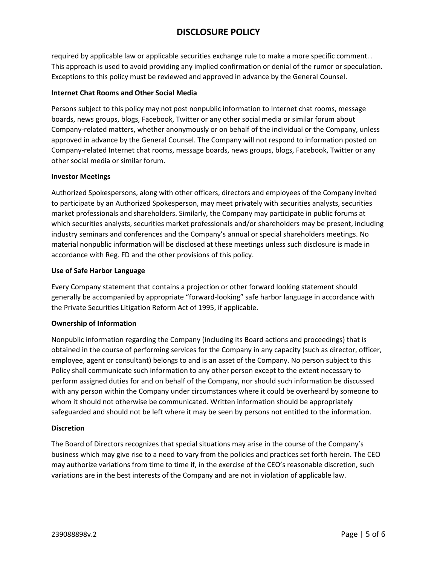required by applicable law or applicable securities exchange rule to make a more specific comment. . This approach is used to avoid providing any implied confirmation or denial of the rumor or speculation. Exceptions to this policy must be reviewed and approved in advance by the General Counsel.

# **Internet Chat Rooms and Other Social Media**

Persons subject to this policy may not post nonpublic information to Internet chat rooms, message boards, news groups, blogs, Facebook, Twitter or any other social media or similar forum about Company-related matters, whether anonymously or on behalf of the individual or the Company, unless approved in advance by the General Counsel. The Company will not respond to information posted on Company-related Internet chat rooms, message boards, news groups, blogs, Facebook, Twitter or any other social media or similar forum.

## **Investor Meetings**

Authorized Spokespersons, along with other officers, directors and employees of the Company invited to participate by an Authorized Spokesperson, may meet privately with securities analysts, securities market professionals and shareholders. Similarly, the Company may participate in public forums at which securities analysts, securities market professionals and/or shareholders may be present, including industry seminars and conferences and the Company's annual or special shareholders meetings. No material nonpublic information will be disclosed at these meetings unless such disclosure is made in accordance with Reg. FD and the other provisions of this policy.

## **Use of Safe Harbor Language**

Every Company statement that contains a projection or other forward looking statement should generally be accompanied by appropriate "forward-looking" safe harbor language in accordance with the Private Securities Litigation Reform Act of 1995, if applicable.

# **Ownership of Information**

Nonpublic information regarding the Company (including its Board actions and proceedings) that is obtained in the course of performing services for the Company in any capacity (such as director, officer, employee, agent or consultant) belongs to and is an asset of the Company. No person subject to this Policy shall communicate such information to any other person except to the extent necessary to perform assigned duties for and on behalf of the Company, nor should such information be discussed with any person within the Company under circumstances where it could be overheard by someone to whom it should not otherwise be communicated. Written information should be appropriately safeguarded and should not be left where it may be seen by persons not entitled to the information.

#### **Discretion**

The Board of Directors recognizes that special situations may arise in the course of the Company's business which may give rise to a need to vary from the policies and practices set forth herein. The CEO may authorize variations from time to time if, in the exercise of the CEO's reasonable discretion, such variations are in the best interests of the Company and are not in violation of applicable law.